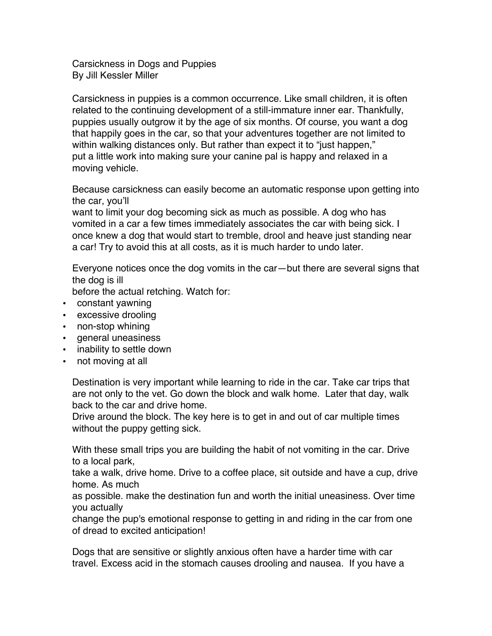Carsickness in Dogs and Puppies By Jill Kessler Miller

Carsickness in puppies is a common occurrence. Like small children, it is often related to the continuing development of a still-immature inner ear. Thankfully, puppies usually outgrow it by the age of six months. Of course, you want a dog that happily goes in the car, so that your adventures together are not limited to within walking distances only. But rather than expect it to "just happen," put a little work into making sure your canine pal is happy and relaxed in a moving vehicle.

Because carsickness can easily become an automatic response upon getting into the car, you'll

want to limit your dog becoming sick as much as possible. A dog who has vomited in a car a few times immediately associates the car with being sick. I once knew a dog that would start to tremble, drool and heave just standing near a car! Try to avoid this at all costs, as it is much harder to undo later.

Everyone notices once the dog vomits in the car—but there are several signs that the dog is ill

before the actual retching. Watch for:

- constant yawning
- excessive drooling
- non-stop whining
- general uneasiness
- inability to settle down
- not moving at all

Destination is very important while learning to ride in the car. Take car trips that are not only to the vet. Go down the block and walk home. Later that day, walk back to the car and drive home.

Drive around the block. The key here is to get in and out of car multiple times without the puppy getting sick.

With these small trips you are building the habit of not vomiting in the car. Drive to a local park,

take a walk, drive home. Drive to a coffee place, sit outside and have a cup, drive home. As much

as possible. make the destination fun and worth the initial uneasiness. Over time you actually

change the pup's emotional response to getting in and riding in the car from one of dread to excited anticipation!

Dogs that are sensitive or slightly anxious often have a harder time with car travel. Excess acid in the stomach causes drooling and nausea. If you have a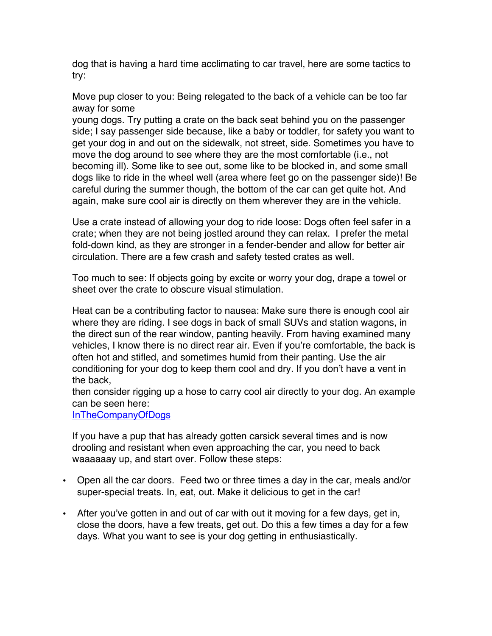dog that is having a hard time acclimating to car travel, here are some tactics to try:

Move pup closer to you: Being relegated to the back of a vehicle can be too far away for some

young dogs. Try putting a crate on the back seat behind you on the passenger side; I say passenger side because, like a baby or toddler, for safety you want to get your dog in and out on the sidewalk, not street, side. Sometimes you have to move the dog around to see where they are the most comfortable (i.e., not becoming ill). Some like to see out, some like to be blocked in, and some small dogs like to ride in the wheel well (area where feet go on the passenger side)! Be careful during the summer though, the bottom of the car can get quite hot. And again, make sure cool air is directly on them wherever they are in the vehicle.

Use a crate instead of allowing your dog to ride loose: Dogs often feel safer in a crate; when they are not being jostled around they can relax. I prefer the metal fold-down kind, as they are stronger in a fender-bender and allow for better air circulation. There are a few crash and safety tested crates as well.

Too much to see: If objects going by excite or worry your dog, drape a towel or sheet over the crate to obscure visual stimulation.

Heat can be a contributing factor to nausea: Make sure there is enough cool air where they are riding. I see dogs in back of small SUVs and station wagons, in the direct sun of the rear window, panting heavily. From having examined many vehicles, I know there is no direct rear air. Even if you're comfortable, the back is often hot and stifled, and sometimes humid from their panting. Use the air conditioning for your dog to keep them cool and dry. If you don't have a vent in the back,

then consider rigging up a hose to carry cool air directly to your dog. An example can be seen here:

InTheCompanyOfDogs

If you have a pup that has already gotten carsick several times and is now drooling and resistant when even approaching the car, you need to back waaaaaay up, and start over. Follow these steps:

- Open all the car doors. Feed two or three times a day in the car, meals and/or super-special treats. In, eat, out. Make it delicious to get in the car!
- After you've gotten in and out of car with out it moving for a few days, get in, close the doors, have a few treats, get out. Do this a few times a day for a few days. What you want to see is your dog getting in enthusiastically.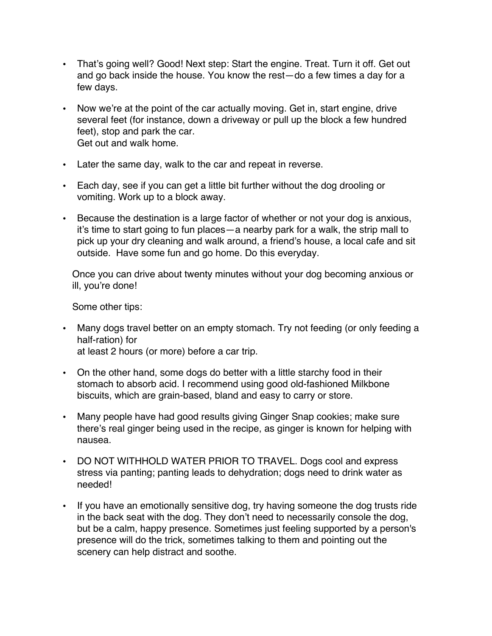- That's going well? Good! Next step: Start the engine. Treat. Turn it off. Get out and go back inside the house. You know the rest—do a few times a day for a few days.
- Now we're at the point of the car actually moving. Get in, start engine, drive several feet (for instance, down a driveway or pull up the block a few hundred feet), stop and park the car. Get out and walk home.
- Later the same day, walk to the car and repeat in reverse.
- Each day, see if you can get a little bit further without the dog drooling or vomiting. Work up to a block away.
- Because the destination is a large factor of whether or not your dog is anxious, it's time to start going to fun places—a nearby park for a walk, the strip mall to pick up your dry cleaning and walk around, a friend's house, a local cafe and sit outside. Have some fun and go home. Do this everyday.

Once you can drive about twenty minutes without your dog becoming anxious or ill, you're done!

Some other tips:

- Many dogs travel better on an empty stomach. Try not feeding (or only feeding a half-ration) for at least 2 hours (or more) before a car trip.
- On the other hand, some dogs do better with a little starchy food in their stomach to absorb acid. I recommend using good old-fashioned Milkbone biscuits, which are grain-based, bland and easy to carry or store.
- Many people have had good results giving Ginger Snap cookies; make sure there's real ginger being used in the recipe, as ginger is known for helping with nausea.
- DO NOT WITHHOLD WATER PRIOR TO TRAVEL. Dogs cool and express stress via panting; panting leads to dehydration; dogs need to drink water as needed!
- If you have an emotionally sensitive dog, try having someone the dog trusts ride in the back seat with the dog. They don't need to necessarily console the dog, but be a calm, happy presence. Sometimes just feeling supported by a person's presence will do the trick, sometimes talking to them and pointing out the scenery can help distract and soothe.